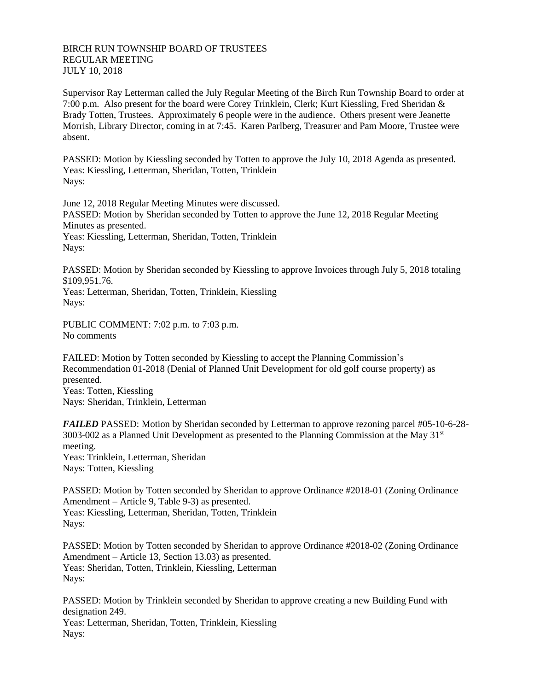## BIRCH RUN TOWNSHIP BOARD OF TRUSTEES REGULAR MEETING JULY 10, 2018

Supervisor Ray Letterman called the July Regular Meeting of the Birch Run Township Board to order at 7:00 p.m. Also present for the board were Corey Trinklein, Clerk; Kurt Kiessling, Fred Sheridan & Brady Totten, Trustees. Approximately 6 people were in the audience. Others present were Jeanette Morrish, Library Director, coming in at 7:45. Karen Parlberg, Treasurer and Pam Moore, Trustee were absent.

PASSED: Motion by Kiessling seconded by Totten to approve the July 10, 2018 Agenda as presented. Yeas: Kiessling, Letterman, Sheridan, Totten, Trinklein Nays:

June 12, 2018 Regular Meeting Minutes were discussed. PASSED: Motion by Sheridan seconded by Totten to approve the June 12, 2018 Regular Meeting Minutes as presented. Yeas: Kiessling, Letterman, Sheridan, Totten, Trinklein Nays:

PASSED: Motion by Sheridan seconded by Kiessling to approve Invoices through July 5, 2018 totaling \$109,951.76.

Yeas: Letterman, Sheridan, Totten, Trinklein, Kiessling Nays:

PUBLIC COMMENT: 7:02 p.m. to 7:03 p.m. No comments

FAILED: Motion by Totten seconded by Kiessling to accept the Planning Commission's Recommendation 01-2018 (Denial of Planned Unit Development for old golf course property) as presented. Yeas: Totten, Kiessling Nays: Sheridan, Trinklein, Letterman

*FAILED* PASSED: Motion by Sheridan seconded by Letterman to approve rezoning parcel #05-10-6-28-3003-002 as a Planned Unit Development as presented to the Planning Commission at the May  $31<sup>st</sup>$ meeting. Yeas: Trinklein, Letterman, Sheridan Nays: Totten, Kiessling

PASSED: Motion by Totten seconded by Sheridan to approve Ordinance #2018-01 (Zoning Ordinance Amendment – Article 9, Table 9-3) as presented. Yeas: Kiessling, Letterman, Sheridan, Totten, Trinklein Nays:

PASSED: Motion by Totten seconded by Sheridan to approve Ordinance #2018-02 (Zoning Ordinance Amendment – Article 13, Section 13.03) as presented. Yeas: Sheridan, Totten, Trinklein, Kiessling, Letterman Nays:

PASSED: Motion by Trinklein seconded by Sheridan to approve creating a new Building Fund with designation 249. Yeas: Letterman, Sheridan, Totten, Trinklein, Kiessling Nays: